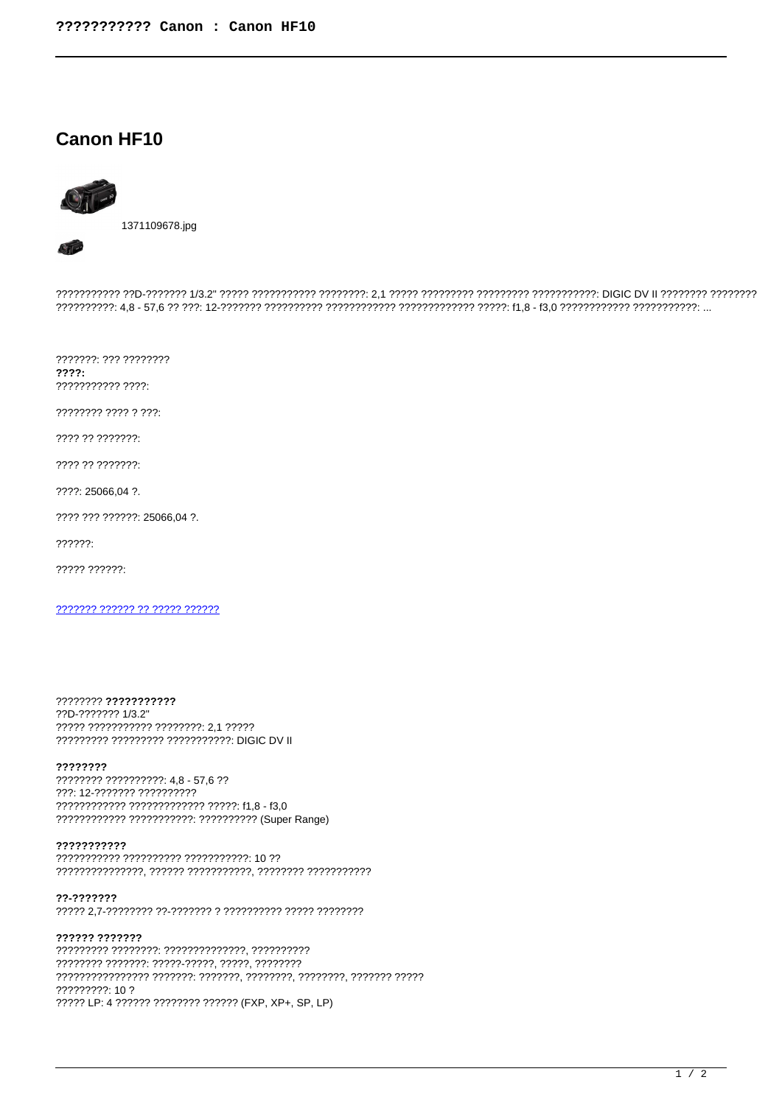## **Canon HF10**



??????????? ??D-??????? 1/3.2" ????? ?????????? ????????: 2,1 ????? ????????? ?????????? ????????: DIGIC DV II ???????? ????????? 

???????. ??? ????????  $2222:$ ??????????? ????:

???????? ???? ? ???:

???? ?? ???????:

???? ?? ???????:

????: 25066,04 ?.

???? ??? ??????: 25066,04 ?.

 $22222.$ 

????? ??????:

??????? ?????? ?? ????? ??????

???????? ??????????? ??D-??????? 1/3.2" ????? ??????????? ????????: 2.1 ????? ????????? ????????? ??????????? DIGIC DV II

## ????????

???????? ?????????? 4,8 - 57,6 ?? ???: 12-??????? ?????????? ???????????? ????????????? ?????: f1.8 - f3.0 ???????????? ??????????? ?????????? (Super Range)

## ???????????

??????????? ?????????? ??????????? 10 ?? 

??-???????

?????? ??????? ???????? ???????: ?????-?????, ?????, ????????? 7777777777777777 777777: 777777, 7777777, 7777777, 7777777 77777 ????????? 10 ? ????? LP: 4 ?????? ???????? ?????? (FXP, XP+, SP, LP)